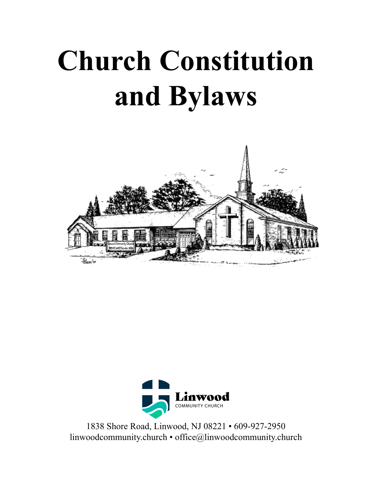# **Church Constitution and Bylaws**





1838 Shore Road, Linwood, NJ 08221 • 609-927-2950 [linwoodcommunity.](http://www.linwoodcommunitychurch.org)church • office@linwoodcommunity.church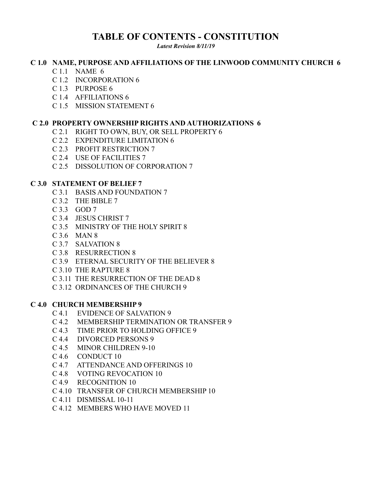# **TABLE OF CONTENTS - CONSTITUTION**

*Latest Revision 8/11/19*

#### **C 1.0 NAME, PURPOSE AND AFFILIATIONS OF THE LINWOOD COMMUNITY CHURCH 6**

- C 1.1 NAME 6
- C 1.2 INCORPORATION 6
- C 1.3 PURPOSE 6
- C 1.4 AFFILIATIONS 6
- C 1.5 MISSION STATEMENT 6

#### **C 2.0 PROPERTY OWNERSHIP RIGHTS AND AUTHORIZATIONS 6**

- C 2.1 RIGHT TO OWN, BUY, OR SELL PROPERTY 6
- C 2.2 EXPENDITURE LIMITATION 6
- C 2.3 PROFIT RESTRICTION 7
- C 2.4 USE OF FACILITIES 7
- C 2.5 DISSOLUTION OF CORPORATION 7

#### **C 3.0 STATEMENT OF BELIEF 7**

- C 3.1 BASIS AND FOUNDATION 7
- C 3.2 THE BIBLE 7
- C 3.3 GOD 7
- C 3.4 JESUS CHRIST 7
- C 3.5 MINISTRY OF THE HOLY SPIRIT 8
- C 3.6 MAN 8
- C 3.7 SALVATION 8
- C 3.8 RESURRECTION 8
- C 3.9 ETERNAL SECURITY OF THE BELIEVER 8
- C 3.10 THE RAPTURE 8
- C 3.11 THE RESURRECTION OF THE DEAD 8
- C 3.12 ORDINANCES OF THE CHURCH 9

#### **C 4.0 CHURCH MEMBERSHIP 9**

- C 4.1 EVIDENCE OF SALVATION 9
- C 4.2 MEMBERSHIP TERMINATION OR TRANSFER 9
- C 4.3 TIME PRIOR TO HOLDING OFFICE 9
- C 4.4 DIVORCED PERSONS 9
- C 4.5 MINOR CHILDREN 9-10
- C 4.6 CONDUCT 10
- C 4.7 ATTENDANCE AND OFFERINGS 10
- C 4.8 VOTING REVOCATION 10
- C 4.9 RECOGNITION 10
- C 4.10 TRANSFER OF CHURCH MEMBERSHIP 10
- C 4.11 DISMISSAL 10-11
- C 4.12 MEMBERS WHO HAVE MOVED 11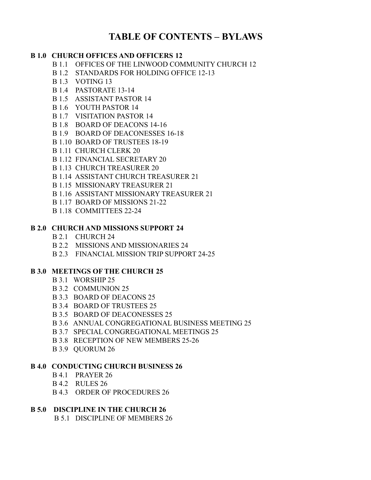# **TABLE OF CONTENTS – BYLAWS**

#### **B 1.0 CHURCH OFFICES AND OFFICERS 12**

- B 1.1 OFFICES OF THE LINWOOD COMMUNITY CHURCH 12
- B 1.2 STANDARDS FOR HOLDING OFFICE 12-13
- B 1.3 VOTING 13
- B 1.4 PASTORATE 13-14
- B 1.5 ASSISTANT PASTOR 14
- B 1.6 YOUTH PASTOR 14
- B 1.7 VISITATION PASTOR 14
- B 1.8 BOARD OF DEACONS 14-16
- B 1.9 BOARD OF DEACONESSES 16-18
- B 1.10 BOARD OF TRUSTEES 18-19
- B 1.11 CHURCH CLERK 20
- B 1.12 FINANCIAL SECRETARY 20
- B 1.13 CHURCH TREASURER 20
- B 1.14 ASSISTANT CHURCH TREASURER 21
- B 1.15 MISSIONARY TREASURER 21
- B 1.16 ASSISTANT MISSIONARY TREASURER 21
- B 1.17 BOARD OF MISSIONS 21-22
- B 1.18 COMMITTEES 22-24

#### **B 2.0 CHURCH AND MISSIONS SUPPORT 24**

- B 2.1 CHURCH 24
- B 2.2 MISSIONS AND MISSIONARIES 24
- B 2.3 FINANCIAL MISSION TRIP SUPPORT 24-25

#### **B 3.0 MEETINGS OF THE CHURCH 25**

- B 3.1 WORSHIP 25
- B 3.2 COMMUNION 25
- B 3.3 BOARD OF DEACONS 25
- B 3.4 BOARD OF TRUSTEES 25
- B 3.5 BOARD OF DEACONESSES 25
- B 3.6 ANNUAL CONGREGATIONAL BUSINESS MEETING 25
- B 3.7 SPECIAL CONGREGATIONAL MEETINGS 25
- B 3.8 RECEPTION OF NEW MEMBERS 25-26
- B 3.9 QUORUM 26

#### **B 4.0 CONDUCTING CHURCH BUSINESS 26**

- B 4.1 PRAYER 26
- B 4.2 RULES 26
- B 4.3 ORDER OF PROCEDURES 26

#### **B 5.0 DISCIPLINE IN THE CHURCH 26**

B 5.1 DISCIPLINE OF MEMBERS 26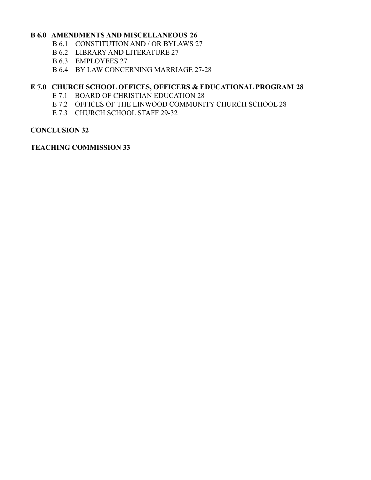#### **B 6.0 AMENDMENTS AND MISCELLANEOUS 26**

- B 6.1 CONSTITUTION AND / OR BYLAWS 27
- B 6.2 LIBRARY AND LITERATURE 27
- B 6.3 EMPLOYEES 27
- B 6.4 BY LAW CONCERNING MARRIAGE 27-28

#### **E 7.0 CHURCH SCHOOL OFFICES, OFFICERS & EDUCATIONAL PROGRAM 28**

- E 7.1 BOARD OF CHRISTIAN EDUCATION 28
- E 7.2 OFFICES OF THE LINWOOD COMMUNITY CHURCH SCHOOL 28
- E 7.3 CHURCH SCHOOL STAFF 29-32

#### **CONCLUSION 32**

#### **TEACHING COMMISSION 33**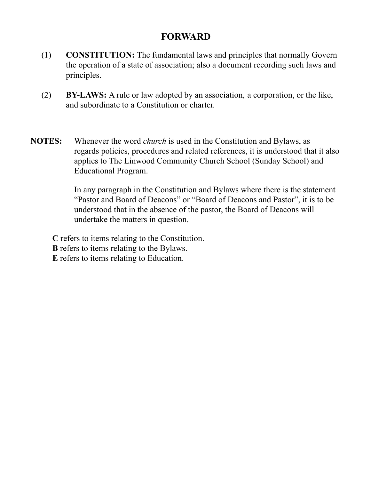# **FORWARD**

- (1) **CONSTITUTION:** The fundamental laws and principles that normally Govern the operation of a state of association; also a document recording such laws and principles.
- (2) **BY-LAWS:** A rule or law adopted by an association, a corporation, or the like, and subordinate to a Constitution or charter.
- **NOTES:** Whenever the word *church* is used in the Constitution and Bylaws, as regards policies, procedures and related references, it is understood that it also applies to The Linwood Community Church School (Sunday School) and Educational Program.

In any paragraph in the Constitution and Bylaws where there is the statement "Pastor and Board of Deacons" or "Board of Deacons and Pastor", it is to be understood that in the absence of the pastor, the Board of Deacons will undertake the matters in question.

**C** refers to items relating to the Constitution.

**B** refers to items relating to the Bylaws.

**E** refers to items relating to Education.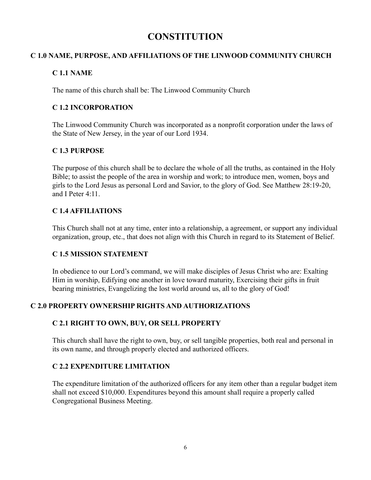# **CONSTITUTION**

#### **C 1.0 NAME, PURPOSE, AND AFFILIATIONS OF THE LINWOOD COMMUNITY CHURCH**

#### **C 1.1 NAME**

The name of this church shall be: The Linwood Community Church

#### **C 1.2 INCORPORATION**

The Linwood Community Church was incorporated as a nonprofit corporation under the laws of the State of New Jersey, in the year of our Lord 1934.

#### **C 1.3 PURPOSE**

The purpose of this church shall be to declare the whole of all the truths, as contained in the Holy Bible; to assist the people of the area in worship and work; to introduce men, women, boys and girls to the Lord Jesus as personal Lord and Savior, to the glory of God. See Matthew 28:19-20, and I Peter 4:11.

#### **C 1.4 AFFILIATIONS**

This Church shall not at any time, enter into a relationship, a agreement, or support any individual organization, group, etc., that does not align with this Church in regard to its Statement of Belief.

#### **C 1.5 MISSION STATEMENT**

In obedience to our Lord's command, we will make disciples of Jesus Christ who are: Exalting Him in worship, Edifying one another in love toward maturity, Exercising their gifts in fruit bearing ministries, Evangelizing the lost world around us, all to the glory of God!

#### **C 2.0 PROPERTY OWNERSHIP RIGHTS AND AUTHORIZATIONS**

#### **C 2.1 RIGHT TO OWN, BUY, OR SELL PROPERTY**

This church shall have the right to own, buy, or sell tangible properties, both real and personal in its own name, and through properly elected and authorized officers.

#### **C 2.2 EXPENDITURE LIMITATION**

The expenditure limitation of the authorized officers for any item other than a regular budget item shall not exceed \$10,000. Expenditures beyond this amount shall require a properly called Congregational Business Meeting.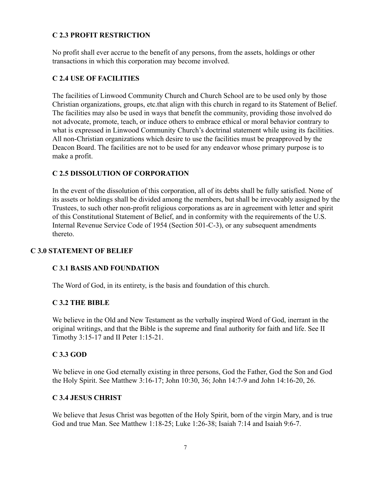#### **C 2.3 PROFIT RESTRICTION**

No profit shall ever accrue to the benefit of any persons, from the assets, holdings or other transactions in which this corporation may become involved.

#### **C 2.4 USE OF FACILITIES**

The facilities of Linwood Community Church and Church School are to be used only by those Christian organizations, groups, etc.that align with this church in regard to its Statement of Belief. The facilities may also be used in ways that benefit the community, providing those involved do not advocate, promote, teach, or induce others to embrace ethical or moral behavior contrary to what is expressed in Linwood Community Church's doctrinal statement while using its facilities. All non-Christian organizations which desire to use the facilities must be preapproved by the Deacon Board. The facilities are not to be used for any endeavor whose primary purpose is to make a profit.

#### **C 2.5 DISSOLUTION OF CORPORATION**

In the event of the dissolution of this corporation, all of its debts shall be fully satisfied. None of its assets or holdings shall be divided among the members, but shall be irrevocably assigned by the Trustees, to such other non-profit religious corporations as are in agreement with letter and spirit of this Constitutional Statement of Belief, and in conformity with the requirements of the U.S. Internal Revenue Service Code of 1954 (Section 501-C-3), or any subsequent amendments thereto.

#### **C 3.0 STATEMENT OF BELIEF**

#### **C 3.1 BASIS AND FOUNDATION**

The Word of God, in its entirety, is the basis and foundation of this church.

#### **C 3.2 THE BIBLE**

We believe in the Old and New Testament as the verbally inspired Word of God, inerrant in the original writings, and that the Bible is the supreme and final authority for faith and life. See II Timothy 3:15-17 and II Peter 1:15-21.

#### **C 3.3 GOD**

We believe in one God eternally existing in three persons, God the Father, God the Son and God the Holy Spirit. See Matthew 3:16-17; John 10:30, 36; John 14:7-9 and John 14:16-20, 26.

#### **C 3.4 JESUS CHRIST**

We believe that Jesus Christ was begotten of the Holy Spirit, born of the virgin Mary, and is true God and true Man. See Matthew 1:18-25; Luke 1:26-38; Isaiah 7:14 and Isaiah 9:6-7.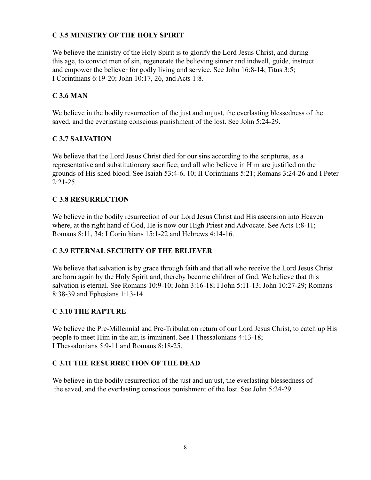#### **C 3.5 MINISTRY OF THE HOLY SPIRIT**

We believe the ministry of the Holy Spirit is to glorify the Lord Jesus Christ, and during this age, to convict men of sin, regenerate the believing sinner and indwell, guide, instruct and empower the believer for godly living and service. See John 16:8-14; Titus 3:5; I Corinthians 6:19-20; John 10:17, 26, and Acts 1:8.

#### **C 3.6 MAN**

We believe in the bodily resurrection of the just and unjust, the everlasting blessedness of the saved, and the everlasting conscious punishment of the lost. See John 5:24-29.

#### **C 3.7 SALVATION**

We believe that the Lord Jesus Christ died for our sins according to the scriptures, as a representative and substitutionary sacrifice; and all who believe in Him are justified on the grounds of His shed blood. See Isaiah 53:4-6, 10; II Corinthians 5:21; Romans 3:24-26 and I Peter 2:21-25.

#### **C 3.8 RESURRECTION**

We believe in the bodily resurrection of our Lord Jesus Christ and His ascension into Heaven where, at the right hand of God, He is now our High Priest and Advocate. See Acts 1:8-11; Romans 8:11, 34; I Corinthians 15:1-22 and Hebrews 4:14-16.

#### **C 3.9 ETERNAL SECURITY OF THE BELIEVER**

We believe that salvation is by grace through faith and that all who receive the Lord Jesus Christ are born again by the Holy Spirit and, thereby become children of God. We believe that this salvation is eternal. See Romans 10:9-10; John 3:16-18; I John 5:11-13; John 10:27-29; Romans 8:38-39 and Ephesians 1:13-14.

#### **C 3.10 THE RAPTURE**

We believe the Pre-Millennial and Pre-Tribulation return of our Lord Jesus Christ, to catch up His people to meet Him in the air, is imminent. See I Thessalonians 4:13-18; I Thessalonians 5:9-11 and Romans 8:18-25.

#### **C 3.11 THE RESURRECTION OF THE DEAD**

We believe in the bodily resurrection of the just and unjust, the everlasting blessedness of the saved, and the everlasting conscious punishment of the lost. See John 5:24-29.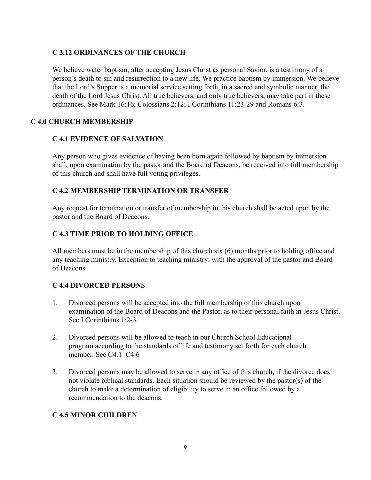#### **C 3.12 ORDINANCES OF THE CHURCH**

We believe water baptism, after accepting Jesus Christ as personal Savior, is a testimony of a person's death to sin and resurrection to a new life. We practice baptism by immersion. We believe that the Lord's Supper is a memorial service setting forth, in a sacred and symbolic manner, the death of the Lord Jesus Christ. All true believers, and only true believers, may take part in these ordinances. See Mark 16:16; Colossians 2:12; I Corinthians 11:23-29 and Romans 6:3.

#### **C 4.0 CHURCH MEMBERSHIP**

#### **C 4.1 EVIDENCE OF SALVATION**

Any person who gives evidence of having been born again followed by baptism by immersion shall, upon examination by the pastor and the Board of Deacons, be received into full membership of this church and shall have full voting privileges.

#### **C 4.2 MEMBERSHIP TERMINATION OR TRANSFER**

Any request for termination or transfer of membership in this church shall be acted upon by the pastor and the Board of Deacons.

#### **C 4.3 TIME PRIOR TO HOLDING OFFICE**

All members must be in the membership of this church six (6) months prior to holding office and any teaching ministry. Exception to teaching ministry: with the approval of the pastor and Board of Deacons.

#### **C 4.4 DIVORCED PERSON**S

- 1. Divorced persons will be accepted into the full membership of this church upon examination of the Board of Deacons and the Pastor, as to their personal faith in Jesus Christ. See I Corinthians 1:2-3.
- 2. Divorced persons will be allowed to teach in our Church School Educational program according to the standards of life and testimony set forth for each church member. See C4.1 C4.6
- 3. Divorced persons may be allowed to serve in any office of this church, if the divorce does not violate biblical standards. Each situation should be reviewed by the pastor(s) of the church to make a determination of eligibility to serve in an office followed by a recommendation to the deacons.

#### **C 4.5 MINOR CHILDREN**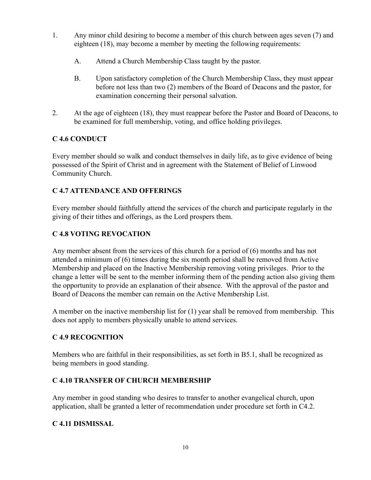- 1. Any minor child desiring to become a member of this church between ages seven (7) and eighteen (18), may become a member by meeting the following requirements:
	- A. Attend a Church Membership Class taught by the pastor.
	- B. Upon satisfactory completion of the Church Membership Class, they must appear before not less than two (2) members of the Board of Deacons and the pastor, for examination concerning their personal salvation.
- 2. At the age of eighteen (18), they must reappear before the Pastor and Board of Deacons, to be examined for full membership, voting, and office holding privileges.

# **C 4.6 CONDUCT**

Every member should so walk and conduct themselves in daily life, as to give evidence of being possessed of the Spirit of Christ and in agreement with the Statement of Belief of Linwood Community Church.

# **C 4.7 ATTENDANCE AND OFFERINGS**

Every member should faithfully attend the services of the church and participate regularly in the giving of their tithes and offerings, as the Lord prospers them.

## **C 4.8 VOTING REVOCATION**

Any member absent from the services of this church for a period of (6) months and has not attended a minimum of (6) times during the six month period shall be removed from Active Membership and placed on the Inactive Membership removing voting privileges. Prior to the change a letter will be sent to the member informing them of the pending action also giving them the opportunity to provide an explanation of their absence. With the approval of the pastor and Board of Deacons the member can remain on the Active Membership List.

A member on the inactive membership list for (1) year shall be removed from membership. This does not apply to members physically unable to attend services.

#### **C 4.9 RECOGNITION**

Members who are faithful in their responsibilities, as set forth in B5.1, shall be recognized as being members in good standing.

#### **C 4.10 TRANSFER OF CHURCH MEMBERSHIP**

Any member in good standing who desires to transfer to another evangelical church, upon application, shall be granted a letter of recommendation under procedure set forth in C4.2.

#### **C 4.11 DISMISSAL**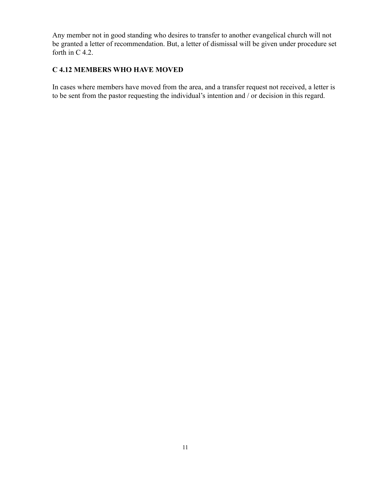Any member not in good standing who desires to transfer to another evangelical church will not be granted a letter of recommendation. But, a letter of dismissal will be given under procedure set forth in C 4.2.

#### **C 4.12 MEMBERS WHO HAVE MOVED**

In cases where members have moved from the area, and a transfer request not received, a letter is to be sent from the pastor requesting the individual's intention and / or decision in this regard.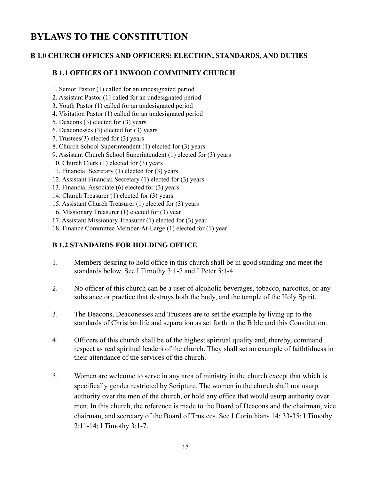# **BYLAWS TO THE CONSTITUTION**

#### **B 1.0 CHURCH OFFICES AND OFFICERS: ELECTION, STANDARDS, AND DUTIES**

#### **B 1.1 OFFICES OF LINWOOD COMMUNITY CHURCH**

- 1. Senior Pastor (1) called for an undesignated period
- 2. Assistant Pastor (1) called for an undesignated period
- 3. Youth Pastor (1) called for an undesignated period
- 4. Visitation Pastor (1) called for an undesignated period
- 5. Deacons (3) elected for (3) years
- 6. Deaconesses (3) elected for (3) years
- 7. Trustees(3) elected for (3) years
- 8. Church School Superintendent (1) elected for (3) years
- 9. Assistant Church School Superintendent (1) elected for (3) years
- 10. Church Clerk (1) elected for (3) years
- 11. Financial Secretary (1) elected for (3) years
- 12. Assistant Financial Secretary (1) elected for (3) years
- 13. Financial Associate (6) elected for (3) years
- 14. Church Treasurer (1) elected for (3) years
- 15. Assistant Church Treasurer (1) elected for (3) years
- 16. Missionary Treasurer (1) elected for (3) year
- 17. Assistant Missionary Treasurer (1) elected for (3) year
- 18. Finance Committee Member-At-Large (1) elected for (1) year

#### **B 1.2 STANDARDS FOR HOLDING OFFICE**

- 1. Members desiring to hold office in this church shall be in good standing and meet the standards below. See I Timothy 3:1-7 and I Peter 5:1-4.
- 2. No officer of this church can be a user of alcoholic beverages, tobacco, narcotics, or any substance or practice that destroys both the body, and the temple of the Holy Spirit.
- 3. The Deacons, Deaconesses and Trustees are to set the example by living up to the standards of Christian life and separation as set forth in the Bible and this Constitution.
- 4. Officers of this church shall be of the highest spiritual quality and, thereby, command respect as real spiritual leaders of the church. They shall set an example of faithfulness in their attendance of the services of the church.
- 5. Women are welcome to serve in any area of ministry in the church except that which is specifically gender restricted by Scripture. The women in the church shall not usurp authority over the men of the church, or hold any office that would usurp authority over men. In this church, the reference is made to the Board of Deacons and the chairman, vice chairman, and secretary of the Board of Trustees. See I Corinthians 14: 33-35; I Timothy 2:11-14; I Timothy 3:1-7.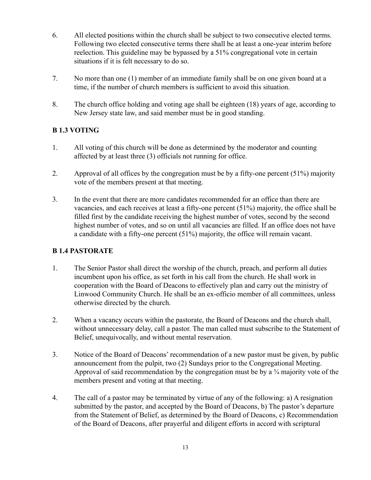- 6. All elected positions within the church shall be subject to two consecutive elected terms. Following two elected consecutive terms there shall be at least a one-year interim before reelection. This guideline may be bypassed by a 51% congregational vote in certain situations if it is felt necessary to do so.
- 7. No more than one (1) member of an immediate family shall be on one given board at a time, if the number of church members is sufficient to avoid this situation.
- 8. The church office holding and voting age shall be eighteen (18) years of age, according to New Jersey state law, and said member must be in good standing.

#### **B 1.3 VOTING**

- 1. All voting of this church will be done as determined by the moderator and counting affected by at least three (3) officials not running for office.
- 2. Approval of all offices by the congregation must be by a fifty-one percent (51%) majority vote of the members present at that meeting.
- 3. In the event that there are more candidates recommended for an office than there are vacancies, and each receives at least a fifty-one percent (51%) majority, the office shall be filled first by the candidate receiving the highest number of votes, second by the second highest number of votes, and so on until all vacancies are filled. If an office does not have a candidate with a fifty-one percent (51%) majority, the office will remain vacant.

#### **B 1.4 PASTORATE**

- 1. The Senior Pastor shall direct the worship of the church, preach, and perform all duties incumbent upon his office, as set forth in his call from the church. He shall work in cooperation with the Board of Deacons to effectively plan and carry out the ministry of Linwood Community Church. He shall be an ex-officio member of all committees, unless otherwise directed by the church.
- 2. When a vacancy occurs within the pastorate, the Board of Deacons and the church shall, without unnecessary delay, call a pastor. The man called must subscribe to the Statement of Belief, unequivocally, and without mental reservation.
- 3. Notice of the Board of Deacons' recommendation of a new pastor must be given, by public announcement from the pulpit, two (2) Sundays prior to the Congregational Meeting. Approval of said recommendation by the congregation must be by a ¾ majority vote of the members present and voting at that meeting.
- 4. The call of a pastor may be terminated by virtue of any of the following: a) A resignation submitted by the pastor, and accepted by the Board of Deacons, b) The pastor's departure from the Statement of Belief, as determined by the Board of Deacons, c) Recommendation of the Board of Deacons, after prayerful and diligent efforts in accord with scriptural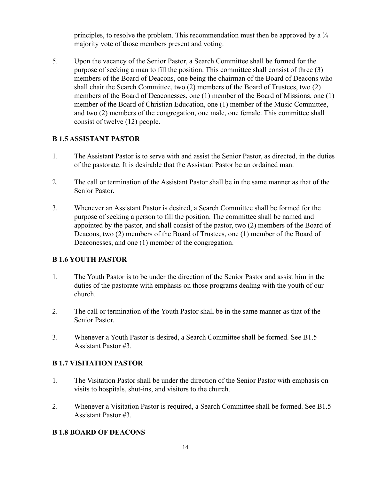principles, to resolve the problem. This recommendation must then be approved by a  $\frac{3}{4}$ majority vote of those members present and voting.

5. Upon the vacancy of the Senior Pastor, a Search Committee shall be formed for the purpose of seeking a man to fill the position. This committee shall consist of three (3) members of the Board of Deacons, one being the chairman of the Board of Deacons who shall chair the Search Committee, two (2) members of the Board of Trustees, two (2) members of the Board of Deaconesses, one (1) member of the Board of Missions, one (1) member of the Board of Christian Education, one (1) member of the Music Committee, and two (2) members of the congregation, one male, one female. This committee shall consist of twelve (12) people.

#### **B 1.5 ASSISTANT PASTOR**

- 1. The Assistant Pastor is to serve with and assist the Senior Pastor, as directed, in the duties of the pastorate. It is desirable that the Assistant Pastor be an ordained man.
- 2. The call or termination of the Assistant Pastor shall be in the same manner as that of the Senior Pastor.
- 3. Whenever an Assistant Pastor is desired, a Search Committee shall be formed for the purpose of seeking a person to fill the position. The committee shall be named and appointed by the pastor, and shall consist of the pastor, two (2) members of the Board of Deacons, two (2) members of the Board of Trustees, one (1) member of the Board of Deaconesses, and one (1) member of the congregation.

#### **B 1.6 YOUTH PASTOR**

- 1. The Youth Pastor is to be under the direction of the Senior Pastor and assist him in the duties of the pastorate with emphasis on those programs dealing with the youth of our church.
- 2. The call or termination of the Youth Pastor shall be in the same manner as that of the Senior Pastor.
- 3. Whenever a Youth Pastor is desired, a Search Committee shall be formed. See B1.5 Assistant Pastor #3.

#### **B 1.7 VISITATION PASTOR**

- 1. The Visitation Pastor shall be under the direction of the Senior Pastor with emphasis on visits to hospitals, shut-ins, and visitors to the church.
- 2. Whenever a Visitation Pastor is required, a Search Committee shall be formed. See B1.5 Assistant Pastor #3.

#### **B 1.8 BOARD OF DEACONS**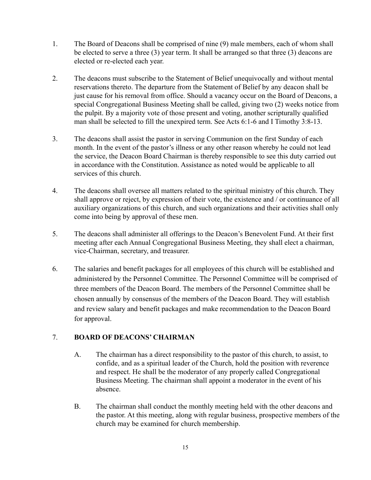- 1. The Board of Deacons shall be comprised of nine (9) male members, each of whom shall be elected to serve a three (3) year term. It shall be arranged so that three (3) deacons are elected or re-elected each year.
- 2. The deacons must subscribe to the Statement of Belief unequivocally and without mental reservations thereto. The departure from the Statement of Belief by any deacon shall be just cause for his removal from office. Should a vacancy occur on the Board of Deacons, a special Congregational Business Meeting shall be called, giving two (2) weeks notice from the pulpit. By a majority vote of those present and voting, another scripturally qualified man shall be selected to fill the unexpired term. See Acts 6:1-6 and I Timothy 3:8-13.
- 3. The deacons shall assist the pastor in serving Communion on the first Sunday of each month. In the event of the pastor's illness or any other reason whereby he could not lead the service, the Deacon Board Chairman is thereby responsible to see this duty carried out in accordance with the Constitution. Assistance as noted would be applicable to all services of this church.
- 4. The deacons shall oversee all matters related to the spiritual ministry of this church. They shall approve or reject, by expression of their vote, the existence and / or continuance of all auxiliary organizations of this church, and such organizations and their activities shall only come into being by approval of these men.
- 5. The deacons shall administer all offerings to the Deacon's Benevolent Fund. At their first meeting after each Annual Congregational Business Meeting, they shall elect a chairman, vice-Chairman, secretary, and treasurer.
- 6. The salaries and benefit packages for all employees of this church will be established and administered by the Personnel Committee. The Personnel Committee will be comprised of three members of the Deacon Board. The members of the Personnel Committee shall be chosen annually by consensus of the members of the Deacon Board. They will establish and review salary and benefit packages and make recommendation to the Deacon Board for approval.

#### 7. **BOARD OF DEACONS' CHAIRMAN**

- A. The chairman has a direct responsibility to the pastor of this church, to assist, to confide, and as a spiritual leader of the Church, hold the position with reverence and respect. He shall be the moderator of any properly called Congregational Business Meeting. The chairman shall appoint a moderator in the event of his absence.
- B. The chairman shall conduct the monthly meeting held with the other deacons and the pastor. At this meeting, along with regular business, prospective members of the church may be examined for church membership.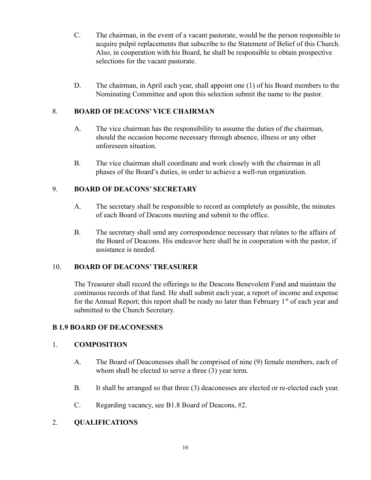- C. The chairman, in the event of a vacant pastorate, would be the person responsible to acquire pulpit replacements that subscribe to the Statement of Belief of this Church. Also, in cooperation with his Board, he shall be responsible to obtain prospective selections for the vacant pastorate.
- D. The chairman, in April each year, shall appoint one (1) of his Board members to the Nominating Committee and upon this selection submit the name to the pastor.

#### 8. **BOARD OF DEACONS' VICE CHAIRMAN**

- A. The vice chairman has the responsibility to assume the duties of the chairman, should the occasion become necessary through absence, illness or any other unforeseen situation.
- B. The vice chairman shall coordinate and work closely with the chairman in all phases of the Board's duties, in order to achieve a well-run organization.

#### 9. **BOARD OF DEACONS' SECRETARY**

- A. The secretary shall be responsible to record as completely as possible, the minutes of each Board of Deacons meeting and submit to the office.
- B. The secretary shall send any correspondence necessary that relates to the affairs of the Board of Deacons. His endeavor here shall be in cooperation with the pastor, if assistance is needed.

#### 10. **BOARD OF DEACONS'TREASURER**

The Treasurer shall record the offerings to the Deacons Benevolent Fund and maintain the continuous records of that fund. He shall submit each year, a report of income and expense for the Annual Report; this report shall be ready no later than February  $1<sup>st</sup>$  of each year and submitted to the Church Secretary.

#### **B 1.9 BOARD OF DEACONESSES**

#### 1. **COMPOSITION**

- A. The Board of Deaconesses shall be comprised of nine (9) female members, each of whom shall be elected to serve a three (3) year term.
- B. It shall be arranged so that three (3) deaconesses are elected or re-elected each year.
- C. Regarding vacancy, see B1.8 Board of Deacons, #2.

#### 2. **QUALIFICATIONS**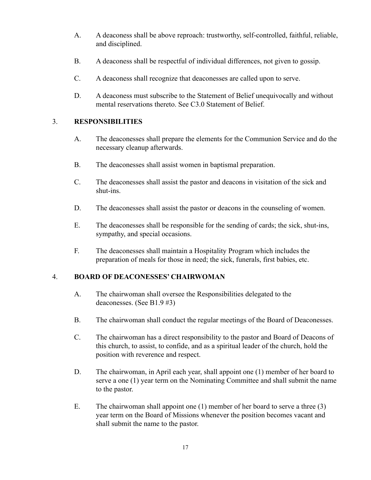- A. A deaconess shall be above reproach: trustworthy, self-controlled, faithful, reliable, and disciplined.
- B. A deaconess shall be respectful of individual differences, not given to gossip.
- C. A deaconess shall recognize that deaconesses are called upon to serve.
- D. A deaconess must subscribe to the Statement of Belief unequivocally and without mental reservations thereto. See C3.0 Statement of Belief.

#### 3. **RESPONSIBILITIES**

- A. The deaconesses shall prepare the elements for the Communion Service and do the necessary cleanup afterwards.
- B. The deaconesses shall assist women in baptismal preparation.
- C. The deaconesses shall assist the pastor and deacons in visitation of the sick and shut-ins.
- D. The deaconesses shall assist the pastor or deacons in the counseling of women.
- E. The deaconesses shall be responsible for the sending of cards; the sick, shut-ins, sympathy, and special occasions.
- F. The deaconesses shall maintain a Hospitality Program which includes the preparation of meals for those in need; the sick, funerals, first babies, etc.

#### 4. **BOARD OF DEACONESSES' CHAIRWOMAN**

- A. The chairwoman shall oversee the Responsibilities delegated to the deaconesses. (See B1.9 #3)
- B. The chairwoman shall conduct the regular meetings of the Board of Deaconesses.
- C. The chairwoman has a direct responsibility to the pastor and Board of Deacons of this church, to assist, to confide, and as a spiritual leader of the church, hold the position with reverence and respect.
- D. The chairwoman, in April each year, shall appoint one (1) member of her board to serve a one (1) year term on the Nominating Committee and shall submit the name to the pastor.
- E. The chairwoman shall appoint one (1) member of her board to serve a three (3) year term on the Board of Missions whenever the position becomes vacant and shall submit the name to the pastor.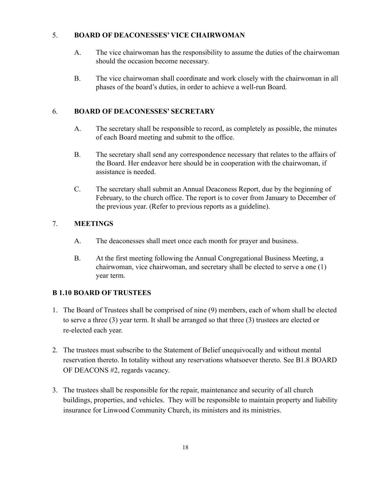#### 5. **BOARD OF DEACONESSES' VICE CHAIRWOMAN**

- A. The vice chairwoman has the responsibility to assume the duties of the chairwoman should the occasion become necessary.
- B. The vice chairwoman shall coordinate and work closely with the chairwoman in all phases of the board's duties, in order to achieve a well-run Board.

## 6. **BOARD OF DEACONESSES' SECRETARY**

- A. The secretary shall be responsible to record, as completely as possible, the minutes of each Board meeting and submit to the office.
- B. The secretary shall send any correspondence necessary that relates to the affairs of the Board. Her endeavor here should be in cooperation with the chairwoman, if assistance is needed.
- C. The secretary shall submit an Annual Deaconess Report, due by the beginning of February, to the church office. The report is to cover from January to December of the previous year. (Refer to previous reports as a guideline).

## 7. **MEETINGS**

- A. The deaconesses shall meet once each month for prayer and business.
- B. At the first meeting following the Annual Congregational Business Meeting, a chairwoman, vice chairwoman, and secretary shall be elected to serve a one (1) year term.

# **B 1.10 BOARD OF TRUSTEES**

- 1. The Board of Trustees shall be comprised of nine (9) members, each of whom shall be elected to serve a three (3) year term. It shall be arranged so that three (3) trustees are elected or re-elected each year.
- 2. The trustees must subscribe to the Statement of Belief unequivocally and without mental reservation thereto. In totality without any reservations whatsoever thereto. See B1.8 BOARD OF DEACONS #2, regards vacancy.
- 3. The trustees shall be responsible for the repair, maintenance and security of all church buildings, properties, and vehicles. They will be responsible to maintain property and liability insurance for Linwood Community Church, its ministers and its ministries.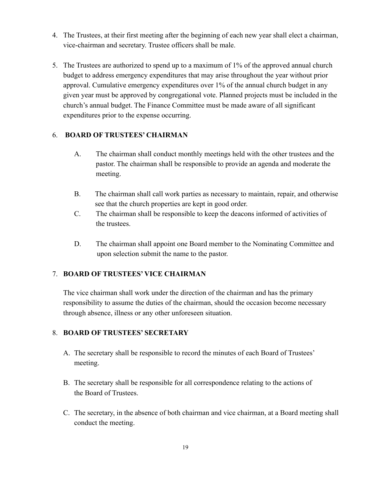- 4. The Trustees, at their first meeting after the beginning of each new year shall elect a chairman, vice-chairman and secretary. Trustee officers shall be male.
- 5. The Trustees are authorized to spend up to a maximum of 1% of the approved annual church budget to address emergency expenditures that may arise throughout the year without prior approval. Cumulative emergency expenditures over 1% of the annual church budget in any given year must be approved by congregational vote. Planned projects must be included in the church's annual budget. The Finance Committee must be made aware of all significant expenditures prior to the expense occurring.

#### 6. **BOARD OF TRUSTEES' CHAIRMAN**

- A. The chairman shall conduct monthly meetings held with the other trustees and the pastor. The chairman shall be responsible to provide an agenda and moderate the meeting.
- B. The chairman shall call work parties as necessary to maintain, repair, and otherwise see that the church properties are kept in good order.
- C. The chairman shall be responsible to keep the deacons informed of activities of the trustees.
- D. The chairman shall appoint one Board member to the Nominating Committee and upon selection submit the name to the pastor.

#### 7. **BOARD OF TRUSTEES' VICE CHAIRMAN**

The vice chairman shall work under the direction of the chairman and has the primary responsibility to assume the duties of the chairman, should the occasion become necessary through absence, illness or any other unforeseen situation.

#### 8. **BOARD OF TRUSTEES' SECRETARY**

- A. The secretary shall be responsible to record the minutes of each Board of Trustees' meeting.
- B. The secretary shall be responsible for all correspondence relating to the actions of the Board of Trustees.
- C. The secretary, in the absence of both chairman and vice chairman, at a Board meeting shall conduct the meeting.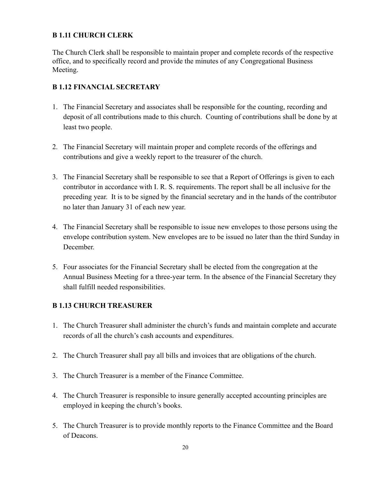## **B 1.11 CHURCH CLERK**

The Church Clerk shall be responsible to maintain proper and complete records of the respective office, and to specifically record and provide the minutes of any Congregational Business Meeting.

## **B 1.12 FINANCIAL SECRETARY**

- 1. The Financial Secretary and associates shall be responsible for the counting, recording and deposit of all contributions made to this church. Counting of contributions shall be done by at least two people.
- 2. The Financial Secretary will maintain proper and complete records of the offerings and contributions and give a weekly report to the treasurer of the church.
- 3. The Financial Secretary shall be responsible to see that a Report of Offerings is given to each contributor in accordance with I. R. S. requirements. The report shall be all inclusive for the preceding year. It is to be signed by the financial secretary and in the hands of the contributor no later than January 31 of each new year.
- 4. The Financial Secretary shall be responsible to issue new envelopes to those persons using the envelope contribution system. New envelopes are to be issued no later than the third Sunday in December.
- 5. Four associates for the Financial Secretary shall be elected from the congregation at the Annual Business Meeting for a three-year term. In the absence of the Financial Secretary they shall fulfill needed responsibilities.

#### **B 1.13 CHURCH TREASURER**

- 1. The Church Treasurer shall administer the church's funds and maintain complete and accurate records of all the church's cash accounts and expenditures.
- 2. The Church Treasurer shall pay all bills and invoices that are obligations of the church.
- 3. The Church Treasurer is a member of the Finance Committee.
- 4. The Church Treasurer is responsible to insure generally accepted accounting principles are employed in keeping the church's books.
- 5. The Church Treasurer is to provide monthly reports to the Finance Committee and the Board of Deacons.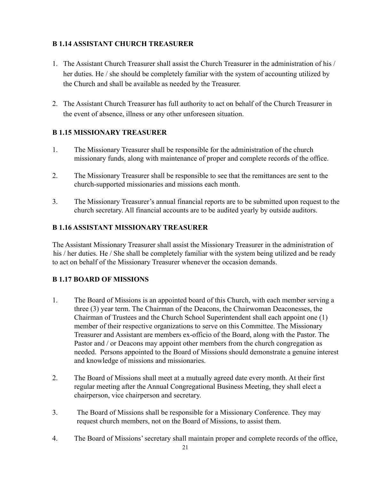#### **B 1.14 ASSISTANT CHURCH TREASURER**

- 1. The Assistant Church Treasurer shall assist the Church Treasurer in the administration of his / her duties. He / she should be completely familiar with the system of accounting utilized by the Church and shall be available as needed by the Treasurer.
- 2. The Assistant Church Treasurer has full authority to act on behalf of the Church Treasurer in the event of absence, illness or any other unforeseen situation.

#### **B 1.15 MISSIONARY TREASURER**

- 1. The Missionary Treasurer shall be responsible for the administration of the church missionary funds, along with maintenance of proper and complete records of the office.
- 2. The Missionary Treasurer shall be responsible to see that the remittances are sent to the church-supported missionaries and missions each month.
- 3. The Missionary Treasurer's annual financial reports are to be submitted upon request to the church secretary. All financial accounts are to be audited yearly by outside auditors.

#### **B 1.16 ASSISTANT MISSIONARY TREASURER**

The Assistant Missionary Treasurer shall assist the Missionary Treasurer in the administration of his / her duties. He / She shall be completely familiar with the system being utilized and be ready to act on behalf of the Missionary Treasurer whenever the occasion demands.

#### **B 1.17 BOARD OF MISSIONS**

- 1. The Board of Missions is an appointed board of this Church, with each member serving a three (3) year term. The Chairman of the Deacons, the Chairwoman Deaconesses, the Chairman of Trustees and the Church School Superintendent shall each appoint one (1) member of their respective organizations to serve on this Committee. The Missionary Treasurer and Assistant are members ex-officio of the Board, along with the Pastor. The Pastor and / or Deacons may appoint other members from the church congregation as needed. Persons appointed to the Board of Missions should demonstrate a genuine interest and knowledge of missions and missionaries.
- 2. The Board of Missions shall meet at a mutually agreed date every month. At their first regular meeting after the Annual Congregational Business Meeting, they shall elect a chairperson, vice chairperson and secretary.
- 3. The Board of Missions shall be responsible for a Missionary Conference. They may request church members, not on the Board of Missions, to assist them.
- 4. The Board of Missions' secretary shall maintain proper and complete records of the office,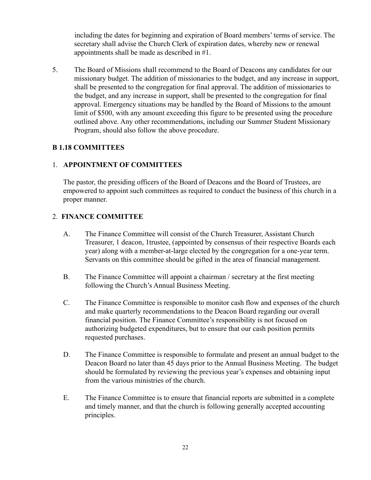including the dates for beginning and expiration of Board members' terms of service. The secretary shall advise the Church Clerk of expiration dates, whereby new or renewal appointments shall be made as described in #1.

5. The Board of Missions shall recommend to the Board of Deacons any candidates for our missionary budget. The addition of missionaries to the budget, and any increase in support, shall be presented to the congregation for final approval. The addition of missionaries to the budget, and any increase in support, shall be presented to the congregation for final approval. Emergency situations may be handled by the Board of Missions to the amount limit of \$500, with any amount exceeding this figure to be presented using the procedure outlined above. Any other recommendations, including our Summer Student Missionary Program, should also follow the above procedure.

#### **B 1.18 COMMITTEES**

#### 1. **APPOINTMENT OF COMMITTEES**

The pastor, the presiding officers of the Board of Deacons and the Board of Trustees, are empowered to appoint such committees as required to conduct the business of this church in a proper manner.

#### 2. **FINANCE COMMITTEE**

- A. The Finance Committee will consist of the Church Treasurer, Assistant Church Treasurer, 1 deacon, 1trustee, (appointed by consensus of their respective Boards each year) along with a member-at-large elected by the congregation for a one-year term. Servants on this committee should be gifted in the area of financial management.
- B. The Finance Committee will appoint a chairman / secretary at the first meeting following the Church's Annual Business Meeting.
- C. The Finance Committee is responsible to monitor cash flow and expenses of the church and make quarterly recommendations to the Deacon Board regarding our overall financial position. The Finance Committee's responsibility is not focused on authorizing budgeted expenditures, but to ensure that our cash position permits requested purchases.
- D. The Finance Committee is responsible to formulate and present an annual budget to the Deacon Board no later than 45 days prior to the Annual Business Meeting. The budget should be formulated by reviewing the previous year's expenses and obtaining input from the various ministries of the church.
- E. The Finance Committee is to ensure that financial reports are submitted in a complete and timely manner, and that the church is following generally accepted accounting principles.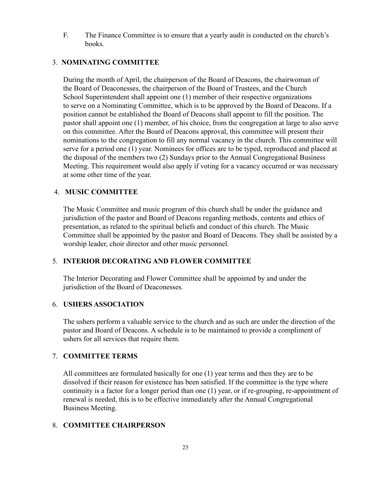F. The Finance Committee is to ensure that a yearly audit is conducted on the church's books.

#### 3. **NOMINATING COMMITTEE**

During the month of April, the chairperson of the Board of Deacons, the chairwoman of the Board of Deaconesses, the chairperson of the Board of Trustees, and the Church School Superintendent shall appoint one (1) member of their respective organizations to serve on a Nominating Committee, which is to be approved by the Board of Deacons. If a position cannot be established the Board of Deacons shall appoint to fill the position. The pastor shall appoint one (1) member, of his choice, from the congregation at large to also serve on this committee. After the Board of Deacons approval, this committee will present their nominations to the congregation to fill any normal vacancy in the church. This committee will serve for a period one (1) year. Nominees for offices are to be typed, reproduced and placed at the disposal of the members two (2) Sundays prior to the Annual Congregational Business Meeting. This requirement would also apply if voting for a vacancy occurred or was necessary at some other time of the year.

#### 4. **MUSIC COMMITTEE**

The Music Committee and music program of this church shall be under the guidance and jurisdiction of the pastor and Board of Deacons regarding methods, contents and ethics of presentation, as related to the spiritual beliefs and conduct of this church. The Music Committee shall be appointed by the pastor and Board of Deacons. They shall be assisted by a worship leader, choir director and other music personnel.

#### 5. **INTERIOR DECORATING AND FLOWER COMMITTEE**

The Interior Decorating and Flower Committee shall be appointed by and under the jurisdiction of the Board of Deaconesses.

#### 6. **USHERS ASSOCIATION**

The ushers perform a valuable service to the church and as such are under the direction of the pastor and Board of Deacons. A schedule is to be maintained to provide a compliment of ushers for all services that require them.

#### 7. **COMMITTEE TERMS**

All committees are formulated basically for one (1) year terms and then they are to be dissolved if their reason for existence has been satisfied. If the committee is the type where continuity is a factor for a longer period than one (1) year, or if re-grouping, re-appointment of renewal is needed, this is to be effective immediately after the Annual Congregational Business Meeting.

#### 8. **COMMITTEE CHAIRPERSON**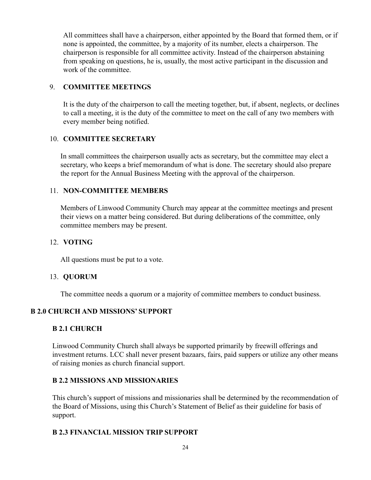All committees shall have a chairperson, either appointed by the Board that formed them, or if none is appointed, the committee, by a majority of its number, elects a chairperson. The chairperson is responsible for all committee activity. Instead of the chairperson abstaining from speaking on questions, he is, usually, the most active participant in the discussion and work of the committee.

#### 9. **COMMITTEE MEETINGS**

It is the duty of the chairperson to call the meeting together, but, if absent, neglects, or declines to call a meeting, it is the duty of the committee to meet on the call of any two members with every member being notified.

#### 10. **COMMITTEE SECRETARY**

In small committees the chairperson usually acts as secretary, but the committee may elect a secretary, who keeps a brief memorandum of what is done. The secretary should also prepare the report for the Annual Business Meeting with the approval of the chairperson.

#### 11. **NON-COMMITTEE MEMBERS**

Members of Linwood Community Church may appear at the committee meetings and present their views on a matter being considered. But during deliberations of the committee, only committee members may be present.

#### 12. **VOTING**

All questions must be put to a vote.

#### 13. **QUORUM**

The committee needs a quorum or a majority of committee members to conduct business.

#### **B 2.0 CHURCH AND MISSIONS' SUPPORT**

#### **B 2.1 CHURCH**

Linwood Community Church shall always be supported primarily by freewill offerings and investment returns. LCC shall never present bazaars, fairs, paid suppers or utilize any other means of raising monies as church financial support.

#### **B 2.2 MISSIONS AND MISSIONARIES**

This church's support of missions and missionaries shall be determined by the recommendation of the Board of Missions, using this Church's Statement of Belief as their guideline for basis of support.

#### **B 2.3 FINANCIAL MISSION TRIP SUPPORT**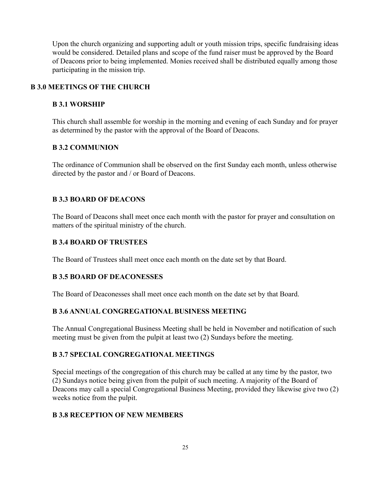Upon the church organizing and supporting adult or youth mission trips, specific fundraising ideas would be considered. Detailed plans and scope of the fund raiser must be approved by the Board of Deacons prior to being implemented. Monies received shall be distributed equally among those participating in the mission trip.

#### **B 3.0 MEETINGS OF THE CHURCH**

#### **B 3.1 WORSHIP**

This church shall assemble for worship in the morning and evening of each Sunday and for prayer as determined by the pastor with the approval of the Board of Deacons.

#### **B 3.2 COMMUNION**

The ordinance of Communion shall be observed on the first Sunday each month, unless otherwise directed by the pastor and / or Board of Deacons.

#### **B 3.3 BOARD OF DEACONS**

The Board of Deacons shall meet once each month with the pastor for prayer and consultation on matters of the spiritual ministry of the church.

#### **B 3.4 BOARD OF TRUSTEES**

The Board of Trustees shall meet once each month on the date set by that Board.

#### **B 3.5 BOARD OF DEACONESSES**

The Board of Deaconesses shall meet once each month on the date set by that Board.

#### **B 3.6 ANNUAL CONGREGATIONAL BUSINESS MEETING**

The Annual Congregational Business Meeting shall be held in November and notification of such meeting must be given from the pulpit at least two (2) Sundays before the meeting.

#### **B 3.7 SPECIAL CONGREGATIONAL MEETINGS**

Special meetings of the congregation of this church may be called at any time by the pastor, two (2) Sundays notice being given from the pulpit of such meeting. A majority of the Board of Deacons may call a special Congregational Business Meeting, provided they likewise give two (2) weeks notice from the pulpit.

#### **B 3.8 RECEPTION OF NEW MEMBERS**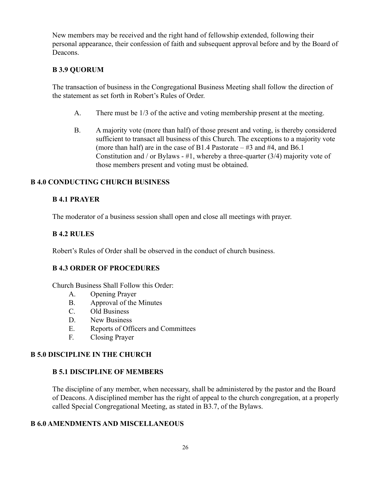New members may be received and the right hand of fellowship extended, following their personal appearance, their confession of faith and subsequent approval before and by the Board of Deacons.

#### **B 3.9 QUORUM**

The transaction of business in the Congregational Business Meeting shall follow the direction of the statement as set forth in Robert's Rules of Order.

- A. There must be 1/3 of the active and voting membership present at the meeting.
- B. A majority vote (more than half) of those present and voting, is thereby considered sufficient to transact all business of this Church. The exceptions to a majority vote (more than half) are in the case of B1.4 Pastorate  $-$  #3 and #4, and B6.1 Constitution and / or Bylaws -  $\#1$ , whereby a three-quarter (3/4) majority vote of those members present and voting must be obtained.

#### **B 4.0 CONDUCTING CHURCH BUSINESS**

#### **B 4.1 PRAYER**

The moderator of a business session shall open and close all meetings with prayer.

#### **B 4.2 RULES**

Robert's Rules of Order shall be observed in the conduct of church business.

#### **B 4.3 ORDER OF PROCEDURES**

Church Business Shall Follow this Order:

- A. Opening Prayer
- B. Approval of the Minutes
- C. Old Business
- D. New Business
- E. Reports of Officers and Committees
- F. Closing Prayer

#### **B 5.0 DISCIPLINE IN THE CHURCH**

#### **B 5.1 DISCIPLINE OF MEMBERS**

The discipline of any member, when necessary, shall be administered by the pastor and the Board of Deacons. A disciplined member has the right of appeal to the church congregation, at a properly called Special Congregational Meeting, as stated in B3.7, of the Bylaws.

#### **B 6.0 AMENDMENTS AND MISCELLANEOUS**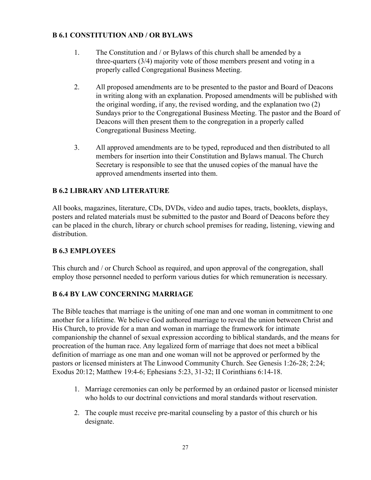#### **B 6.1 CONSTITUTION AND / OR BYLAWS**

- 1. The Constitution and / or Bylaws of this church shall be amended by a three-quarters (3/4) majority vote of those members present and voting in a properly called Congregational Business Meeting.
- 2. All proposed amendments are to be presented to the pastor and Board of Deacons in writing along with an explanation. Proposed amendments will be published with the original wording, if any, the revised wording, and the explanation two (2) Sundays prior to the Congregational Business Meeting. The pastor and the Board of Deacons will then present them to the congregation in a properly called Congregational Business Meeting.
- 3. All approved amendments are to be typed, reproduced and then distributed to all members for insertion into their Constitution and Bylaws manual. The Church Secretary is responsible to see that the unused copies of the manual have the approved amendments inserted into them.

#### **B 6.2 LIBRARY AND LITERATURE**

All books, magazines, literature, CDs, DVDs, video and audio tapes, tracts, booklets, displays, posters and related materials must be submitted to the pastor and Board of Deacons before they can be placed in the church, library or church school premises for reading, listening, viewing and distribution.

#### **B 6.3 EMPLOYEES**

This church and / or Church School as required, and upon approval of the congregation, shall employ those personnel needed to perform various duties for which remuneration is necessary.

#### **B 6.4 BY LAW CONCERNING MARRIAGE**

The Bible teaches that marriage is the uniting of one man and one woman in commitment to one another for a lifetime. We believe God authored marriage to reveal the union between Christ and His Church, to provide for a man and woman in marriage the framework for intimate companionship the channel of sexual expression according to biblical standards, and the means for procreation of the human race. Any legalized form of marriage that does not meet a biblical definition of marriage as one man and one woman will not be approved or performed by the pastors or licensed ministers at The Linwood Community Church. See Genesis 1:26-28; 2:24; Exodus 20:12; Matthew 19:4-6; Ephesians 5:23, 31-32; II Corinthians 6:14-18.

- 1. Marriage ceremonies can only be performed by an ordained pastor or licensed minister who holds to our doctrinal convictions and moral standards without reservation.
- 2. The couple must receive pre-marital counseling by a pastor of this church or his designate.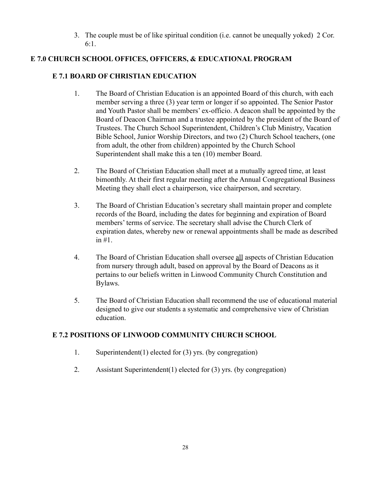3. The couple must be of like spiritual condition (i.e. cannot be unequally yoked) 2 Cor. 6:1.

# **E 7.0 CHURCH SCHOOL OFFICES, OFFICERS, & EDUCATIONAL PROGRAM**

#### **E 7.1 BOARD OF CHRISTIAN EDUCATION**

- 1. The Board of Christian Education is an appointed Board of this church, with each member serving a three (3) year term or longer if so appointed. The Senior Pastor and Youth Pastor shall be members' ex-officio. A deacon shall be appointed by the Board of Deacon Chairman and a trustee appointed by the president of the Board of Trustees. The Church School Superintendent, Children's Club Ministry, Vacation Bible School, Junior Worship Directors, and two (2) Church School teachers, (one from adult, the other from children) appointed by the Church School Superintendent shall make this a ten (10) member Board.
- 2. The Board of Christian Education shall meet at a mutually agreed time, at least bimonthly. At their first regular meeting after the Annual Congregational Business Meeting they shall elect a chairperson, vice chairperson, and secretary.
- 3. The Board of Christian Education's secretary shall maintain proper and complete records of the Board, including the dates for beginning and expiration of Board members' terms of service. The secretary shall advise the Church Clerk of expiration dates, whereby new or renewal appointments shall be made as described in #1.
- 4. The Board of Christian Education shall oversee all aspects of Christian Education from nursery through adult, based on approval by the Board of Deacons as it pertains to our beliefs written in Linwood Community Church Constitution and Bylaws.
- 5. The Board of Christian Education shall recommend the use of educational material designed to give our students a systematic and comprehensive view of Christian education.

#### **E 7.2 POSITIONS OF LINWOOD COMMUNITY CHURCH SCHOOL**

- 1. Superintendent(1) elected for (3) yrs. (by congregation)
- 2. Assistant Superintendent(1) elected for (3) yrs. (by congregation)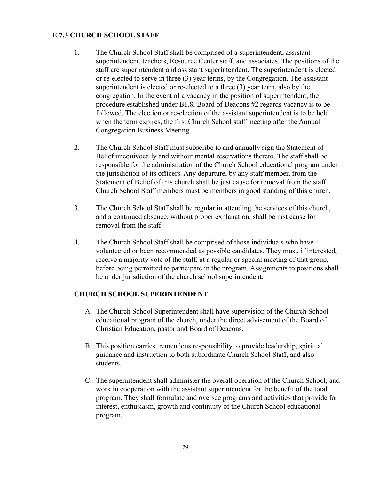#### **E 7.3 CHURCH SCHOOL STAFF**

- 1. The Church School Staff shall be comprised of a superintendent, assistant superintendent, teachers, Resource Center staff, and associates. The positions of the staff are superintendent and assistant superintendent. The superintendent is elected or re-elected to serve in three (3) year terms, by the Congregation. The assistant superintendent is elected or re-elected to a three (3) year term, also by the congregation. In the event of a vacancy in the position of superintendent, the procedure established under B1.8, Board of Deacons #2 regards vacancy is to be followed. The election or re-election of the assistant superintendent is to be held when the term expires, the first Church School staff meeting after the Annual Congregation Business Meeting.
- 2. The Church School Staff must subscribe to and annually sign the Statement of Belief unequivocally and without mental reservations thereto. The staff shall be responsible for the administration of the Church School educational program under the jurisdiction of its officers. Any departure, by any staff member, from the Statement of Belief of this church shall be just cause for removal from the staff. Church School Staff members must be members in good standing of this church.
- 3. The Church School Staff shall be regular in attending the services of this church, and a continued absence, without proper explanation, shall be just cause for removal from the staff.
- 4. The Church School Staff shall be comprised of those individuals who have volunteered or been recommended as possible candidates. They must, if interested, receive a majority vote of the staff, at a regular or special meeting of that group, before being permitted to participate in the program. Assignments to positions shall be under jurisdiction of the church school superintendent.

#### **CHURCH SCHOOL SUPERINTENDENT**

- A. The Church School Superintendent shall have supervision of the Church School educational program of the church, under the direct advisement of the Board of Christian Education, pastor and Board of Deacons.
- B. This position carries tremendous responsibility to provide leadership, spiritual guidance and instruction to both subordinate Church School Staff, and also students.
- C. The superintendent shall administer the overall operation of the Church School, and work in cooperation with the assistant superintendent for the benefit of the total program. They shall formulate and oversee programs and activities that provide for interest, enthusiasm, growth and continuity of the Church School educational program.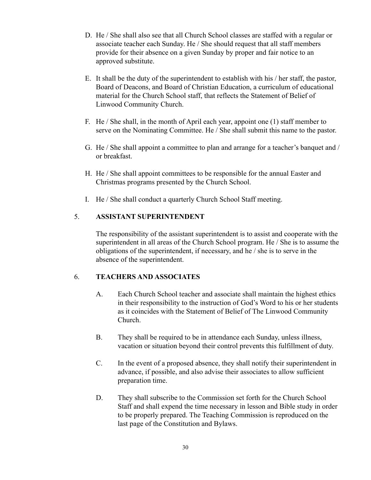- D. He / She shall also see that all Church School classes are staffed with a regular or associate teacher each Sunday. He / She should request that all staff members provide for their absence on a given Sunday by proper and fair notice to an approved substitute.
- E. It shall be the duty of the superintendent to establish with his / her staff, the pastor, Board of Deacons, and Board of Christian Education, a curriculum of educational material for the Church School staff, that reflects the Statement of Belief of Linwood Community Church.
- F. He / She shall, in the month of April each year, appoint one (1) staff member to serve on the Nominating Committee. He / She shall submit this name to the pastor.
- G. He / She shall appoint a committee to plan and arrange for a teacher's banquet and / or breakfast.
- H. He / She shall appoint committees to be responsible for the annual Easter and Christmas programs presented by the Church School.
- I. He / She shall conduct a quarterly Church School Staff meeting.

#### 5. **ASSISTANT SUPERINTENDENT**

The responsibility of the assistant superintendent is to assist and cooperate with the superintendent in all areas of the Church School program. He / She is to assume the obligations of the superintendent, if necessary, and he / she is to serve in the absence of the superintendent.

#### 6. **TEACHERS AND ASSOCIATES**

- A. Each Church School teacher and associate shall maintain the highest ethics in their responsibility to the instruction of God's Word to his or her students as it coincides with the Statement of Belief of The Linwood Community Church.
- B. They shall be required to be in attendance each Sunday, unless illness, vacation or situation beyond their control prevents this fulfillment of duty.
- C. In the event of a proposed absence, they shall notify their superintendent in advance, if possible, and also advise their associates to allow sufficient preparation time.
- D. They shall subscribe to the Commission set forth for the Church School Staff and shall expend the time necessary in lesson and Bible study in order to be properly prepared. The Teaching Commission is reproduced on the last page of the Constitution and Bylaws.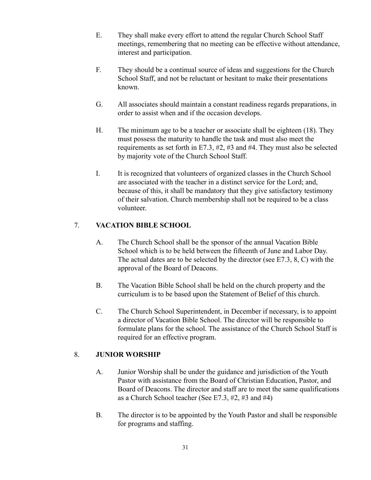- E. They shall make every effort to attend the regular Church School Staff meetings, remembering that no meeting can be effective without attendance, interest and participation.
- F. They should be a continual source of ideas and suggestions for the Church School Staff, and not be reluctant or hesitant to make their presentations known.
- G. All associates should maintain a constant readiness regards preparations, in order to assist when and if the occasion develops.
- H. The minimum age to be a teacher or associate shall be eighteen (18). They must possess the maturity to handle the task and must also meet the requirements as set forth in E7.3, #2, #3 and #4. They must also be selected by majority vote of the Church School Staff.
- I. It is recognized that volunteers of organized classes in the Church School are associated with the teacher in a distinct service for the Lord; and, because of this, it shall be mandatory that they give satisfactory testimony of their salvation. Church membership shall not be required to be a class volunteer.

## 7. **VACATION BIBLE SCHOOL**

- A. The Church School shall be the sponsor of the annual Vacation Bible School which is to be held between the fifteenth of June and Labor Day. The actual dates are to be selected by the director (see E7.3, 8, C) with the approval of the Board of Deacons.
- B. The Vacation Bible School shall be held on the church property and the curriculum is to be based upon the Statement of Belief of this church.
- C. The Church School Superintendent, in December if necessary, is to appoint a director of Vacation Bible School. The director will be responsible to formulate plans for the school. The assistance of the Church School Staff is required for an effective program.

#### 8. **JUNIOR WORSHIP**

- A. Junior Worship shall be under the guidance and jurisdiction of the Youth Pastor with assistance from the Board of Christian Education, Pastor, and Board of Deacons. The director and staff are to meet the same qualifications as a Church School teacher (See E7.3, #2, #3 and #4)
- B. The director is to be appointed by the Youth Pastor and shall be responsible for programs and staffing.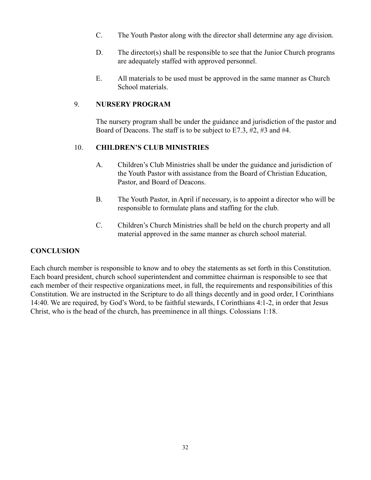- C. The Youth Pastor along with the director shall determine any age division.
- D. The director(s) shall be responsible to see that the Junior Church programs are adequately staffed with approved personnel.
- E. All materials to be used must be approved in the same manner as Church School materials.

#### 9. **NURSERY PROGRAM**

The nursery program shall be under the guidance and jurisdiction of the pastor and Board of Deacons. The staff is to be subject to E7.3, #2, #3 and #4.

#### 10. **CHILDREN'S CLUB MINISTRIES**

- A. Children's Club Ministries shall be under the guidance and jurisdiction of the Youth Pastor with assistance from the Board of Christian Education, Pastor, and Board of Deacons.
- B. The Youth Pastor, in April if necessary, is to appoint a director who will be responsible to formulate plans and staffing for the club.
- C. Children's Church Ministries shall be held on the church property and all material approved in the same manner as church school material.

#### **CONCLUSION**

Each church member is responsible to know and to obey the statements as set forth in this Constitution. Each board president, church school superintendent and committee chairman is responsible to see that each member of their respective organizations meet, in full, the requirements and responsibilities of this Constitution. We are instructed in the Scripture to do all things decently and in good order, I Corinthians 14:40. We are required, by God's Word, to be faithful stewards, I Corinthians 4:1-2, in order that Jesus Christ, who is the head of the church, has preeminence in all things. Colossians 1:18.